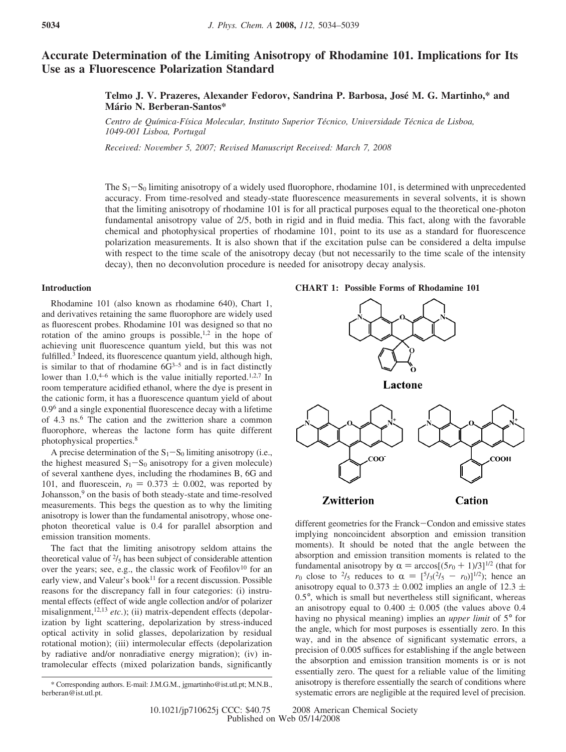# **Accurate Determination of the Limiting Anisotropy of Rhodamine 101. Implications for Its Use as a Fluorescence Polarization Standard**

# **Telmo J. V. Prazeres, Alexander Fedorov, Sandrina P. Barbosa, Jose´ M. G. Martinho,\* and Ma´rio N. Berberan-Santos\***

*Centro de Quı´mica-Fı´sica Molecular, Instituto Superior Te´cnico, Uni*V*ersidade Te´cnica de Lisboa, 1049-001 Lisboa, Portugal*

*Recei*V*ed: No*V*ember 5, 2007; Re*V*ised Manuscript Recei*V*ed: March 7, 2008*

The  $S_1-S_0$  limiting anisotropy of a widely used fluorophore, rhodamine 101, is determined with unprecedented accuracy. From time-resolved and steady-state fluorescence measurements in several solvents, it is shown that the limiting anisotropy of rhodamine 101 is for all practical purposes equal to the theoretical one-photon fundamental anisotropy value of 2/5, both in rigid and in fluid media. This fact, along with the favorable chemical and photophysical properties of rhodamine 101, point to its use as a standard for fluorescence polarization measurements. It is also shown that if the excitation pulse can be considered a delta impulse with respect to the time scale of the anisotropy decay (but not necessarily to the time scale of the intensity decay), then no deconvolution procedure is needed for anisotropy decay analysis.

## **Introduction**

Rhodamine 101 (also known as rhodamine 640), Chart 1, and derivatives retaining the same fluorophore are widely used as fluorescent probes. Rhodamine 101 was designed so that no rotation of the amino groups is possible, $1,2$  in the hope of achieving unit fluorescence quantum yield, but this was not fulfilled.<sup>3</sup> Indeed, its fluorescence quantum yield, although high, is similar to that of rhodamine  $6\overline{G}^{3-5}$  and is in fact distinctly lower than  $1.0$ ,<sup>4–6</sup> which is the value initially reported.<sup>1,2,7</sup> In room temperature acidified ethanol, where the dye is present in the cationic form, it has a fluorescence quantum yield of about 0.96 and a single exponential fluorescence decay with a lifetime of 4.3 ns.6 The cation and the zwitterion share a common fluorophore, whereas the lactone form has quite different photophysical properties.8

A precise determination of the  $S_1-S_0$  limiting anisotropy (i.e., the highest measured  $S_1-S_0$  anisotropy for a given molecule) of several xanthene dyes, including the rhodamines B, 6G and 101, and fluorescein,  $r_0 = 0.373 \pm 0.002$ , was reported by Johansson,9 on the basis of both steady-state and time-resolved measurements. This begs the question as to why the limiting anisotropy is lower than the fundamental anisotropy, whose onephoton theoretical value is 0.4 for parallel absorption and emission transition moments.

The fact that the limiting anisotropy seldom attains the theoretical value of  $\frac{2}{5}$  has been subject of considerable attention over the years; see, e.g., the classic work of Feofilov<sup>10</sup> for an early view, and Valeur's book<sup>11</sup> for a recent discussion. Possible reasons for the discrepancy fall in four categories: (i) instrumental effects (effect of wide angle collection and/or of polarizer misalignment,<sup>12,13</sup> etc.); (ii) matrix-dependent effects (depolarization by light scattering, depolarization by stress-induced optical activity in solid glasses, depolarization by residual rotational motion); (iii) intermolecular effects (depolarization by radiative and/or nonradiative energy migration); (iv) intramolecular effects (mixed polarization bands, significantly

#### **CHART 1: Possible Forms of Rhodamine 101**



different geometries for the Franck-Condon and emissive states implying noncoincident absorption and emission transition moments). It should be noted that the angle between the absorption and emission transition moments is related to the fundamental anisotropy by  $\alpha = \arccos[(5r_0 + 1)/3]^{1/2}$  (that for *r*<sub>0</sub> close to <sup>2</sup>/<sub>5</sub> reduces to  $\alpha = [5/3(2/5 - r_0)]^{1/2}$ ; hence an anisotropy equal to 0.373  $\pm$  0.002 implies an angle of 12.3  $\pm$ 0.5°, which is small but nevertheless still significant, whereas an anisotropy equal to  $0.400 \pm 0.005$  (the values above 0.4 having no physical meaning) implies an *upper limit* of 5° for the angle, which for most purposes is essentially zero. In this way, and in the absence of significant systematic errors, a precision of 0.005 suffices for establishing if the angle between the absorption and emission transition moments is or is not essentially zero. The quest for a reliable value of the limiting anisotropy is therefore essentially the search of conditions where systematic errors are negligible at the required level of precision.

<sup>\*</sup> Corresponding authors. E-mail: J.M.G.M., jgmartinho@ist.utl.pt; M.N.B., berberan@ist.utl.pt.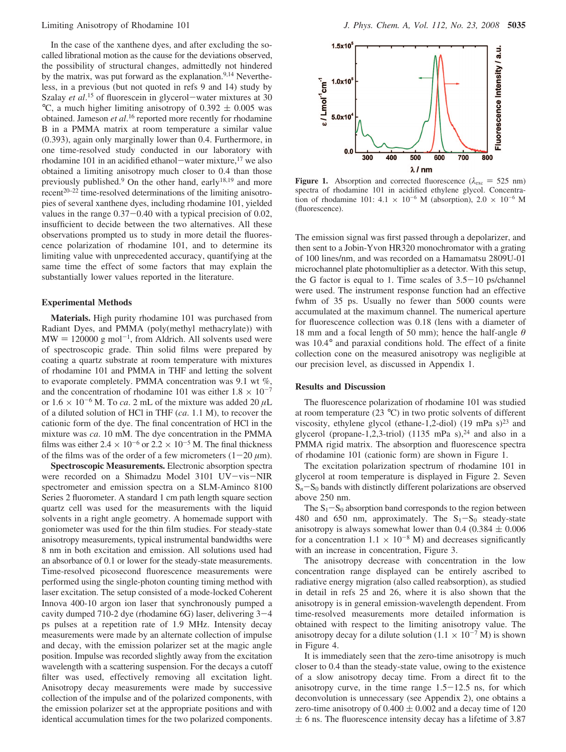In the case of the xanthene dyes, and after excluding the socalled librational motion as the cause for the deviations observed, the possibility of structural changes, admittedly not hindered by the matrix, was put forward as the explanation.<sup>9,14</sup> Nevertheless, in a previous (but not quoted in refs 9 and 14) study by Szalay *et al.*<sup>15</sup> of fluorescein in glycerol—water mixtures at 30<br>
<sup>o</sup>C a much higher limiting anisotropy of 0.392 + 0.005 was  $\degree$ C, a much higher limiting anisotropy of 0.392  $\pm$  0.005 was obtained. Jameson *et al*.<sup>16</sup> reported more recently for rhodamine B in a PMMA matrix at room temperature a similar value (0.393), again only marginally lower than 0.4. Furthermore, in one time-resolved study conducted in our laboratory with rhodamine 101 in an acidified ethanol-water mixture,<sup>17</sup> we also obtained a limiting anisotropy much closer to 0.4 than those previously published.<sup>9</sup> On the other hand, early<sup>18,19</sup> and more  $r^{20-22}$  time-resolved determinations of the limiting anisotropies of several xanthene dyes, including rhodamine 101, yielded values in the range 0.37-0.40 with a typical precision of 0.02, insufficient to decide between the two alternatives. All these observations prompted us to study in more detail the fluorescence polarization of rhodamine 101, and to determine its limiting value with unprecedented accuracy, quantifying at the same time the effect of some factors that may explain the substantially lower values reported in the literature.

## **Experimental Methods**

**Materials.** High purity rhodamine 101 was purchased from Radiant Dyes, and PMMA (poly(methyl methacrylate)) with  $MW = 120000 g mol<sup>-1</sup>$ , from Aldrich. All solvents used were of spectroscopic grade. Thin solid films were prepared by coating a quartz substrate at room temperature with mixtures of rhodamine 101 and PMMA in THF and letting the solvent to evaporate completely. PMMA concentration was 9.1 wt %, and the concentration of rhodamine 101 was either  $1.8 \times 10^{-7}$ or  $1.6 \times 10^{-6}$  M. To *ca*. 2 mL of the mixture was added 20  $\mu$ L of a diluted solution of HCl in THF (*ca*. 1.1 M), to recover the cationic form of the dye. The final concentration of HCl in the mixture was *ca*. 10 mM. The dye concentration in the PMMA films was either  $2.4 \times 10^{-6}$  or  $2.2 \times 10^{-5}$  M. The final thickness of the films was of the order of a few micrometers  $(1-20 \mu m)$ .

**Spectroscopic Measurements.** Electronic absorption spectra were recorded on a Shimadzu Model 3101 UV-vis-NIR spectrometer and emission spectra on a SLM-Aminco 8100 Series 2 fluorometer. A standard 1 cm path length square section quartz cell was used for the measurements with the liquid solvents in a right angle geometry. A homemade support with goniometer was used for the thin film studies. For steady-state anisotropy measurements, typical instrumental bandwidths were 8 nm in both excitation and emission. All solutions used had an absorbance of 0.1 or lower for the steady-state measurements. Time-resolved picosecond fluorescence measurements were performed using the single-photon counting timing method with laser excitation. The setup consisted of a mode-locked Coherent Innova 400-10 argon ion laser that synchronously pumped a cavity dumped 710-2 dye (rhodamine 6G) laser, delivering 3-<sup>4</sup> ps pulses at a repetition rate of 1.9 MHz. Intensity decay measurements were made by an alternate collection of impulse and decay, with the emission polarizer set at the magic angle position. Impulse was recorded slightly away from the excitation wavelength with a scattering suspension. For the decays a cutoff filter was used, effectively removing all excitation light. Anisotropy decay measurements were made by successive collection of the impulse and of the polarized components, with the emission polarizer set at the appropriate positions and with identical accumulation times for the two polarized components.



**Figure 1.** Absorption and corrected fluorescence ( $\lambda_{\text{exc}} = 525 \text{ nm}$ ) spectra of rhodamine 101 in acidified ethylene glycol. Concentration of rhodamine 101:  $4.1 \times 10^{-6}$  M (absorption),  $2.0 \times 10^{-6}$  M (fluorescence).

The emission signal was first passed through a depolarizer, and then sent to a Jobin-Yvon HR320 monochromator with a grating of 100 lines/nm, and was recorded on a Hamamatsu 2809U-01 microchannel plate photomultiplier as a detector. With this setup, the G factor is equal to 1. Time scales of  $3.5-10$  ps/channel were used. The instrument response function had an effective fwhm of 35 ps. Usually no fewer than 5000 counts were accumulated at the maximum channel. The numerical aperture for fluorescence collection was 0.18 (lens with a diameter of 18 mm and a focal length of 50 mm); hence the half-angle *θ* was 10.4° and paraxial conditions hold. The effect of a finite collection cone on the measured anisotropy was negligible at our precision level, as discussed in Appendix 1.

## **Results and Discussion**

The fluorescence polarization of rhodamine 101 was studied at room temperature (23 °C) in two protic solvents of different viscosity, ethylene glycol (ethane-1,2-diol) (19 mPa s)<sup>23</sup> and glycerol (propane-1,2,3-triol) (1135 mPa s), $^{24}$  and also in a PMMA rigid matrix. The absorption and fluorescence spectra of rhodamine 101 (cationic form) are shown in Figure 1.

The excitation polarization spectrum of rhodamine 101 in glycerol at room temperature is displayed in Figure 2. Seven  $S_n-S_0$  bands with distinctly different polarizations are observed above 250 nm.

The  $S_1-S_0$  absorption band corresponds to the region between 480 and 650 nm, approximately. The  $S_1-S_0$  steady-state anisotropy is always somewhat lower than  $0.4$  ( $0.384 \pm 0.006$ ) for a concentration  $1.1 \times 10^{-8}$  M) and decreases significantly with an increase in concentration, Figure 3.

The anisotropy decrease with concentration in the low concentration range displayed can be entirely ascribed to radiative energy migration (also called reabsorption), as studied in detail in refs 25 and 26, where it is also shown that the anisotropy is in general emission-wavelength dependent. From time-resolved measurements more detailed information is obtained with respect to the limiting anisotropy value. The anisotropy decay for a dilute solution  $(1.1 \times 10^{-7} \text{ M})$  is shown in Figure 4.

It is immediately seen that the zero-time anisotropy is much closer to 0.4 than the steady-state value, owing to the existence of a slow anisotropy decay time. From a direct fit to the anisotropy curve, in the time range  $1.5-12.5$  ns, for which deconvolution is unnecessary (see Appendix 2), one obtains a zero-time anisotropy of  $0.400 \pm 0.002$  and a decay time of 120  $\pm$  6 ns. The fluorescence intensity decay has a lifetime of 3.87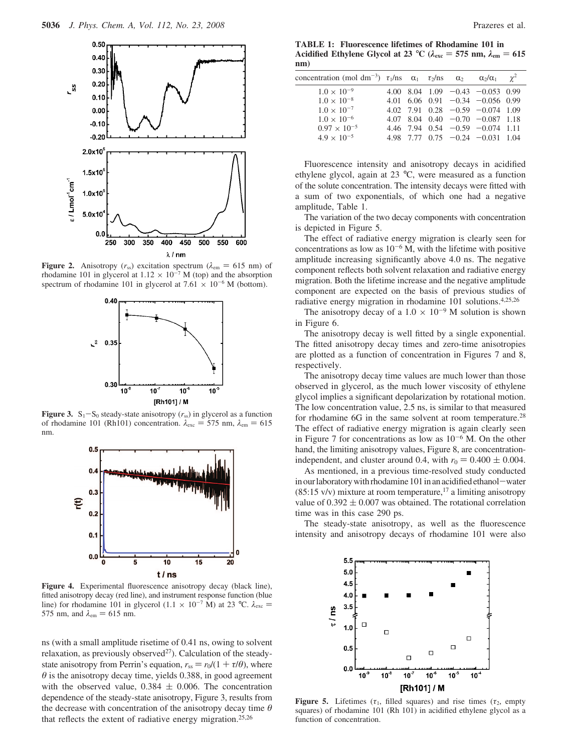

**Figure 2.** Anisotropy ( $r_{ss}$ ) excitation spectrum ( $\lambda_{em} = 615$  nm) of rhodamine 101 in glycerol at 1.12 × 10<sup>-7</sup> M (top) and the absorption spectrum of rhodamine 101 in glycerol at 7.61  $\times$  10<sup>-6</sup> M (bottom).



**Figure 3.** S<sub>1</sub>-S<sub>0</sub> steady-state anisotropy  $(r_{ss})$  in glycerol as a function of rhodamine 101 (Rh101) concentration.  $\lambda_{\text{exc}} = 575$  nm,  $\lambda_{\text{em}} = 615$ nm.



**Figure 4.** Experimental fluorescence anisotropy decay (black line), fitted anisotropy decay (red line), and instrument response function (blue line) for rhodamine 101 in glycerol (1.1  $\times$  10<sup>-7</sup> M) at 23 °C.  $\lambda_{\text{exc}} =$ 575 nm, and  $\lambda_{\rm em} = 615$  nm.

ns (with a small amplitude risetime of 0.41 ns, owing to solvent relaxation, as previously observed<sup> $27$ </sup>). Calculation of the steadystate anisotropy from Perrin's equation,  $r_{ss} = r_0/(1 + \tau/\theta)$ , where *θ* is the anisotropy decay time, yields 0.388, in good agreement with the observed value,  $0.384 \pm 0.006$ . The concentration dependence of the steady-state anisotropy, Figure 3, results from the decrease with concentration of the anisotropy decay time *θ* that reflects the extent of radiative energy migration.25,26

**TABLE 1: Fluorescence lifetimes of Rhodamine 101 in Acidified Ethylene Glycol at 23** °C ( $\lambda_{\text{exc}} = 575$  nm,  $\lambda_{\text{em}} = 615$ **nm)**

| concentration (mol dm <sup>-3</sup> ) $\tau_1$ /ns $\alpha_1$ $\tau_2$ /ns $\alpha_2$ $\alpha_2/\alpha_1$ $\gamma^2$ |  |  |                                            |  |
|----------------------------------------------------------------------------------------------------------------------|--|--|--------------------------------------------|--|
| $1.0 \times 10^{-9}$                                                                                                 |  |  | 4.00 8.04 1.09 $-0.43$ $-0.053$ 0.99       |  |
| $1.0 \times 10^{-8}$                                                                                                 |  |  | $4.01$ 6.06 0.91 $-0.34$ $-0.056$ 0.99     |  |
| $1.0 \times 10^{-7}$                                                                                                 |  |  | 4.02 7.91 0.28 $-0.59$ $-0.074$ 1.09       |  |
| $1.0 \times 10^{-6}$                                                                                                 |  |  | $4.07$ $8.04$ $0.40$ $-0.70$ $-0.087$ 1.18 |  |
| $0.97 \times 10^{-5}$                                                                                                |  |  | 4.46 7.94 $0.54 -0.59 -0.074$ 1.11         |  |
| $4.9 \times 10^{-5}$                                                                                                 |  |  | 4.98 7.77 $0.75 -0.24 -0.031$ 1.04         |  |
|                                                                                                                      |  |  |                                            |  |

Fluorescence intensity and anisotropy decays in acidified ethylene glycol, again at 23 °C, were measured as a function of the solute concentration. The intensity decays were fitted with a sum of two exponentials, of which one had a negative amplitude, Table 1.

The variation of the two decay components with concentration is depicted in Figure 5.

The effect of radiative energy migration is clearly seen for concentrations as low as  $10^{-6}$  M, with the lifetime with positive amplitude increasing significantly above 4.0 ns. The negative component reflects both solvent relaxation and radiative energy migration. Both the lifetime increase and the negative amplitude component are expected on the basis of previous studies of radiative energy migration in rhodamine 101 solutions.4,25,26

The anisotropy decay of a  $1.0 \times 10^{-9}$  M solution is shown in Figure 6.

The anisotropy decay is well fitted by a single exponential. The fitted anisotropy decay times and zero-time anisotropies are plotted as a function of concentration in Figures 7 and 8, respectively.

The anisotropy decay time values are much lower than those observed in glycerol, as the much lower viscosity of ethylene glycol implies a significant depolarization by rotational motion. The low concentration value, 2.5 ns, is similar to that measured for rhodamine 6G in the same solvent at room temperature.<sup>28</sup> The effect of radiative energy migration is again clearly seen in Figure 7 for concentrations as low as  $10^{-6}$  M. On the other hand, the limiting anisotropy values, Figure 8, are concentrationindependent, and cluster around 0.4, with  $r_0 = 0.400 \pm 0.004$ .

As mentioned, in a previous time-resolved study conducted in our laboratory with rhodamine 101 in an acidified ethanol-water  $(85:15 \text{ v/v})$  mixture at room temperature,<sup>17</sup> a limiting anisotropy value of  $0.392 \pm 0.007$  was obtained. The rotational correlation time was in this case 290 ps.

The steady-state anisotropy, as well as the fluorescence intensity and anisotropy decays of rhodamine 101 were also



**Figure 5.** Lifetimes ( $\tau_1$ , filled squares) and rise times ( $\tau_2$ , empty squares) of rhodamine 101 (Rh 101) in acidified ethylene glycol as a function of concentration.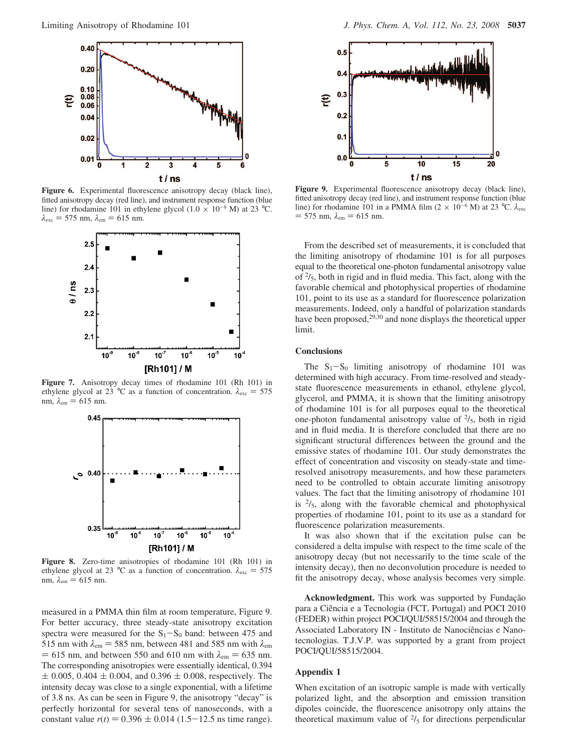

**Figure 6.** Experimental fluorescence anisotropy decay (black line), fitted anisotropy decay (red line), and instrument response function (blue line) for rhodamine 101 in ethylene glycol (1.0  $\times$  10<sup>-9</sup> M) at 23 °C.  $λ_{\rm exc} = 575$  nm,  $λ_{\rm em} = 615$  nm.



**Figure 7.** Anisotropy decay times of rhodamine 101 (Rh 101) in ethylene glycol at 23 °C as a function of concentration.  $\lambda_{\text{exc}} = 575$ nm,  $\lambda_{\rm em} = 615$  nm.



**Figure 8.** Zero-time anisotropies of rhodamine 101 (Rh 101) in ethylene glycol at 23 °C as a function of concentration.  $\lambda_{\text{exc}} = 575$ nm,  $\lambda_{\rm em} = 615$  nm.

measured in a PMMA thin film at room temperature, Figure 9. For better accuracy, three steady-state anisotropy excitation spectra were measured for the  $S_1-S_0$  band: between 475 and 515 nm with  $\lambda_{em}$  = 585 nm, between 481 and 585 nm with  $\lambda_{em}$  $= 615$  nm, and between 550 and 610 nm with  $\lambda_{em} = 635$  nm. The corresponding anisotropies were essentially identical, 0.394  $\pm$  0.005, 0.404  $\pm$  0.004, and 0.396  $\pm$  0.008, respectively. The intensity decay was close to a single exponential, with a lifetime of 3.8 ns. As can be seen in Figure 9, the anisotropy "decay" is perfectly horizontal for several tens of nanoseconds, with a constant value  $r(t) = 0.396 \pm 0.014$  (1.5-12.5 ns time range).



**Figure 9.** Experimental fluorescence anisotropy decay (black line), fitted anisotropy decay (red line), and instrument response function (blue line) for rhodamine 101 in a PMMA film (2 × 10<sup>-6</sup> M) at 23 °C.  $λ_{\text{exc}}$  $= 575$  nm,  $\lambda_{em} = 615$  nm.

From the described set of measurements, it is concluded that the limiting anisotropy of rhodamine 101 is for all purposes equal to the theoretical one-photon fundamental anisotropy value of  $\frac{2}{5}$ , both in rigid and in fluid media. This fact, along with the favorable chemical and photophysical properties of rhodamine 101, point to its use as a standard for fluorescence polarization measurements. Indeed, only a handful of polarization standards have been proposed,<sup>29,30</sup> and none displays the theoretical upper limit.

## **Conclusions**

The  $S_1-S_0$  limiting anisotropy of rhodamine 101 was determined with high accuracy. From time-resolved and steadystate fluorescence measurements in ethanol, ethylene glycol, glycerol, and PMMA, it is shown that the limiting anisotropy of rhodamine 101 is for all purposes equal to the theoretical one-photon fundamental anisotropy value of  $\frac{2}{5}$ , both in rigid and in fluid media. It is therefore concluded that there are no significant structural differences between the ground and the emissive states of rhodamine 101. Our study demonstrates the effect of concentration and viscosity on steady-state and timeresolved anisotropy measurements, and how these parameters need to be controlled to obtain accurate limiting anisotropy values. The fact that the limiting anisotropy of rhodamine 101 is  $\frac{2}{5}$ , along with the favorable chemical and photophysical properties of rhodamine 101, point to its use as a standard for fluorescence polarization measurements.

It was also shown that if the excitation pulse can be considered a delta impulse with respect to the time scale of the anisotropy decay (but not necessarily to the time scale of the intensity decay), then no deconvolution procedure is needed to fit the anisotropy decay, whose analysis becomes very simple.

Acknowledgment. This work was supported by Fundação para a Ciência e a Tecnologia (FCT, Portugal) and POCI 2010 (FEDER) within project POCI/QUI/58515/2004 and through the Associated Laboratory IN - Instituto de Nanociências e Nanotecnologias. T.J.V.P. was supported by a grant from project POCI/QUI/58515/2004.

#### **Appendix 1**

When excitation of an isotropic sample is made with vertically polarized light, and the absorption and emission transition dipoles coincide, the fluorescence anisotropy only attains the theoretical maximum value of  $\frac{2}{5}$  for directions perpendicular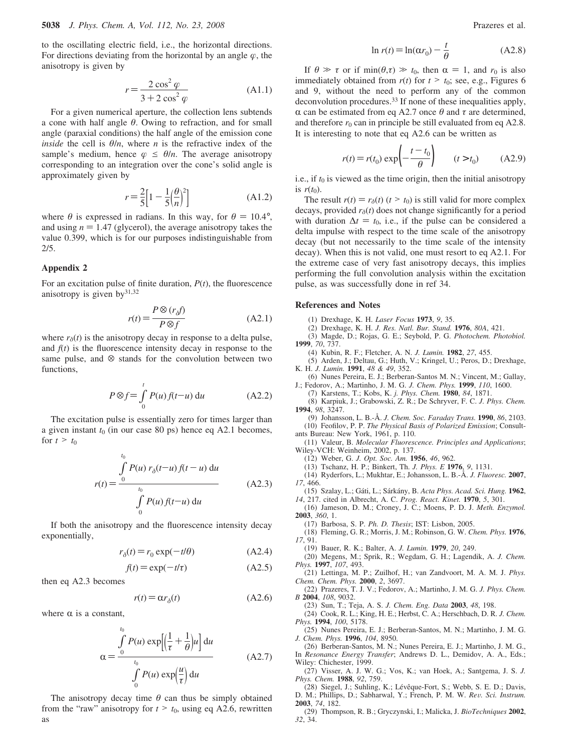to the oscillating electric field, i.e., the horizontal directions. For directions deviating from the horizontal by an angle  $\varphi$ , the anisotropy is given by

$$
r = \frac{2\cos^2\varphi}{3 + 2\cos^2\varphi}
$$
 (A1.1)

 $3 + 2 \cos^2 \varphi$ <br>For a given numerical aperture, the collection lens subtends a cone with half angle *θ*. Owing to refraction, and for small angle (paraxial conditions) the half angle of the emission cone *inside* the cell is  $\theta/n$ , where *n* is the refractive index of the sample's medium, hence  $\varphi \leq \theta/n$ . The average anisotropy corresponding to an integration over the cone's solid angle is approximately given by

$$
r = \frac{2}{5} \left[ 1 - \frac{1}{5} \left( \frac{\theta}{n} \right)^2 \right]
$$
 (A1.2)

where  $\theta$  is expressed in radians. In this way, for  $\theta = 10.4^{\circ}$ , and using  $n = 1.47$  (glycerol), the average anisotropy takes the value 0.399, which is for our purposes indistinguishable from 2/5.

#### **Appendix 2**

For an excitation pulse of finite duration, *P*(*t*), the fluorescence anisotropy is given by $31,32$ 

$$
r(t) = \frac{P \otimes (r_{\delta}f)}{P \otimes f}
$$
 (A2.1)

where  $r_\delta(t)$  is the anisotropy decay in response to a delta pulse, and  $f(t)$  is the fluorescence intensity decay in response to the same pulse, and  $\otimes$  stands for the convolution between two functions,

$$
P \otimes f = \int_{0}^{t} P(u) f(t-u) \, \mathrm{d}u \tag{A2.2}
$$

The excitation pulse is essentially zero for times larger than a given instant  $t_0$  (in our case 80 ps) hence eq A2.1 becomes, for  $t > t_0$ 

$$
r(t) = \frac{\int_{0}^{t_0} P(u) r_\delta(t-u) f(t-u) du}{\int_{0}^{t_0} P(u) f(t-u) du}
$$
 (A2.3)

If both the anisotropy and the fluorescence intensity decay exponentially,

$$
r_{\delta}(t) = r_0 \exp(-t/\theta) \tag{A2.4}
$$

$$
f(t) = \exp(-t/\tau) \tag{A2.5}
$$

then eq A2.3 becomes

$$
r(t) = \alpha r_{\delta}(t) \tag{A2.6}
$$

where  $\alpha$  is a constant,

$$
\chi = \frac{\int_{0}^{t_0} P(u) \exp\left[\left(\frac{1}{\tau} + \frac{1}{\theta}\right)u\right] du}{\int_{0}^{t_0} P(u) \exp\left(\frac{u}{\tau}\right) du}
$$
 (A2.7)

The anisotropy decay time  $\theta$  can thus be simply obtained from the "raw" anisotropy for  $t > t_0$ , using eq A2.6, rewritten as

$$
\ln r(t) = \ln(\alpha r_0) - \frac{t}{\theta} \tag{A2.8}
$$

If  $\theta \gg \tau$  or if min( $\theta, \tau$ )  $\gg t_0$ , then  $\alpha = 1$ , and  $r_0$  is also immediately obtained from  $r(t)$  for  $t > t_0$ ; see, e.g., Figures 6 and 9, without the need to perform any of the common deconvolution procedures.33 If none of these inequalities apply,  $α$  can be estimated from eq A2.7 once  $θ$  and  $τ$  are determined, and therefore  $r_0$  can in principle be still evaluated from eq A2.8. It is interesting to note that eq A2.6 can be written as

$$
r(t) = r(t_0) \exp\left(-\frac{t - t_0}{\theta}\right) \qquad (t > t_0) \tag{A2.9}
$$

i.e., if  $t_0$  is viewed as the time origin, then the initial anisotropy is  $r(t_0)$ .

The result  $r(t) = r_\delta(t)$  ( $t > t_0$ ) is still valid for more complex decays, provided  $r_\delta(t)$  does not change significantly for a period with duration  $\Delta t = t_0$ , i.e., if the pulse can be considered a delta impulse with respect to the time scale of the anisotropy decay (but not necessarily to the time scale of the intensity decay). When this is not valid, one must resort to eq A2.1. For the extreme case of very fast anisotropy decays, this implies performing the full convolution analysis within the excitation pulse, as was successfully done in ref 34.

#### **References and Notes**

- (1) Drexhage, K. H. *Laser Focus* **1973**, *9*, 35.
- (2) Drexhage, K. H. *J. Res. Natl. Bur. Stand.* **1976**, *80A*, 421.
- (3) Magde, D.; Rojas, G. E.; Seybold, P. G. *Photochem. Photobiol.* **1999**, *70*, 737.
	- (4) Kubin, R. F.; Fletcher, A. N. *J. Lumin.* **1982**, *27*, 455.

(5) Arden, J.; Deltau, G.; Huth, V.; Kringel, U.; Peros, D.; Drexhage, K. H. *J. Lumin.* **1991**, *48 & 49*, 352.

- (6) Nunes Pereira, E. J.; Berberan-Santos M. N.; Vincent, M.; Gallay, J.; Fedorov, A.; Martinho, J. M. G. *J. Chem. Phys.* **1999**, *110*, 1600.
	- (7) Karstens, T.; Kobs, K. *j. Phys. Chem.* **1980**, *84*, 1871.
- (8) Karpiuk, J.; Grabowski, Z. R.; De Schryver, F. C. *J. Phys. Chem.* **1994**, *98*, 3247.
- (9) Johansson, L. B.-Å. *J. Chem. Soc. Faraday Trans.* **1990**, *86*, 2103. (10) Feofilov, P. P. *The Physical Basis of Polarized Emission*; Consultants Bureau: New York, 1961, p. 110.

(11) Valeur, B. *Molecular Fluorescence. Principles and Applications*; Wiley-VCH: Weinheim, 2002, p. 137.

(12) Weber, G. *J. Opt. Soc. Am.* **1956**, *46*, 962.

(13) Tschanz, H. P.; Binkert, Th. *J. Phys. E* **1976**, *9*, 1131.

(14) Ryderfors, L.; Mukhtar, E.; Johansson, L. B.-Å. *J. Fluoresc.* **2007**, *17*, 466.

(15) Szalay, L.; Ga´ti, L.; Sa´rka´ny, B. *Acta Phys. Acad. Sci. Hung.* **1962**, *14*, 217. cited in Albrecht, A. C. *Prog. React. Kinet.* **1970**, *5*, 301.

(16) Jameson, D. M.; Croney, J. C.; Moens, P. D. J. *Meth. Enzymol.* **2003**, *360*, 1.

(17) Barbosa, S. P. *Ph. D. Thesis*; IST: Lisbon, 2005.

(18) Fleming, G. R.; Morris, J. M.; Robinson, G. W. *Chem. Phys.* **1976**, *17*, 91.

(19) Bauer, R. K.; Balter, A. *J. Lumin.* **1979**, *20*, 249.

(20) Megens, M.; Sprik, R.; Wegdam, G. H.; Lagendik, A. *J. Chem. Phys.* **1997**, *107*, 493.

(21) Lettinga, M. P.; Zuilhof, H.; van Zandvoort, M. A. M. J. *Phys. Chem. Chem. Phys.* **2000**, *2*, 3697.

(22) Prazeres, T. J. V.; Fedorov, A.; Martinho, J. M. G. *J. Phys. Chem. B* **2004**, *108*, 9032.

(23) Sun, T.; Teja, A. S. *J. Chem. Eng. Data* **2003**, *48*, 198.

(24) Cook, R. L.; King, H. E.; Herbst, C. A.; Herschbach, D. R. *J. Chem. Phys.* **1994**, *100*, 5178.

(25) Nunes Pereira, E. J.; Berberan-Santos, M. N.; Martinho, J. M. G. *J. Chem. Phys.* **1996**, *104*, 8950.

(26) Berberan-Santos, M. N.; Nunes Pereira, E. J.; Martinho, J. M. G., In *Resonance Energy Transfer*; Andrews D. L., Demidov, A. A., Eds.; Wiley: Chichester, 1999.

(27) Visser, A. J. W. G.; Vos, K.; van Hoek, A.; Santgema, J. S. *J. Phys. Chem.* **1988**, *92*, 759.

(28) Siegel, J.; Suhling, K.; Lévêque-Fort, S.; Webb, S. E. D.; Davis, D. M.; Phillips, D.; Sabharwal, Y.; French, P. M. W. *Re*V*. Sci. Instrum.* **2003**, *74*, 182.

(29) Thompson, R. B.; Gryczynski, I.; Malicka, J. *BioTechniques* **2002**, *32*, 34.